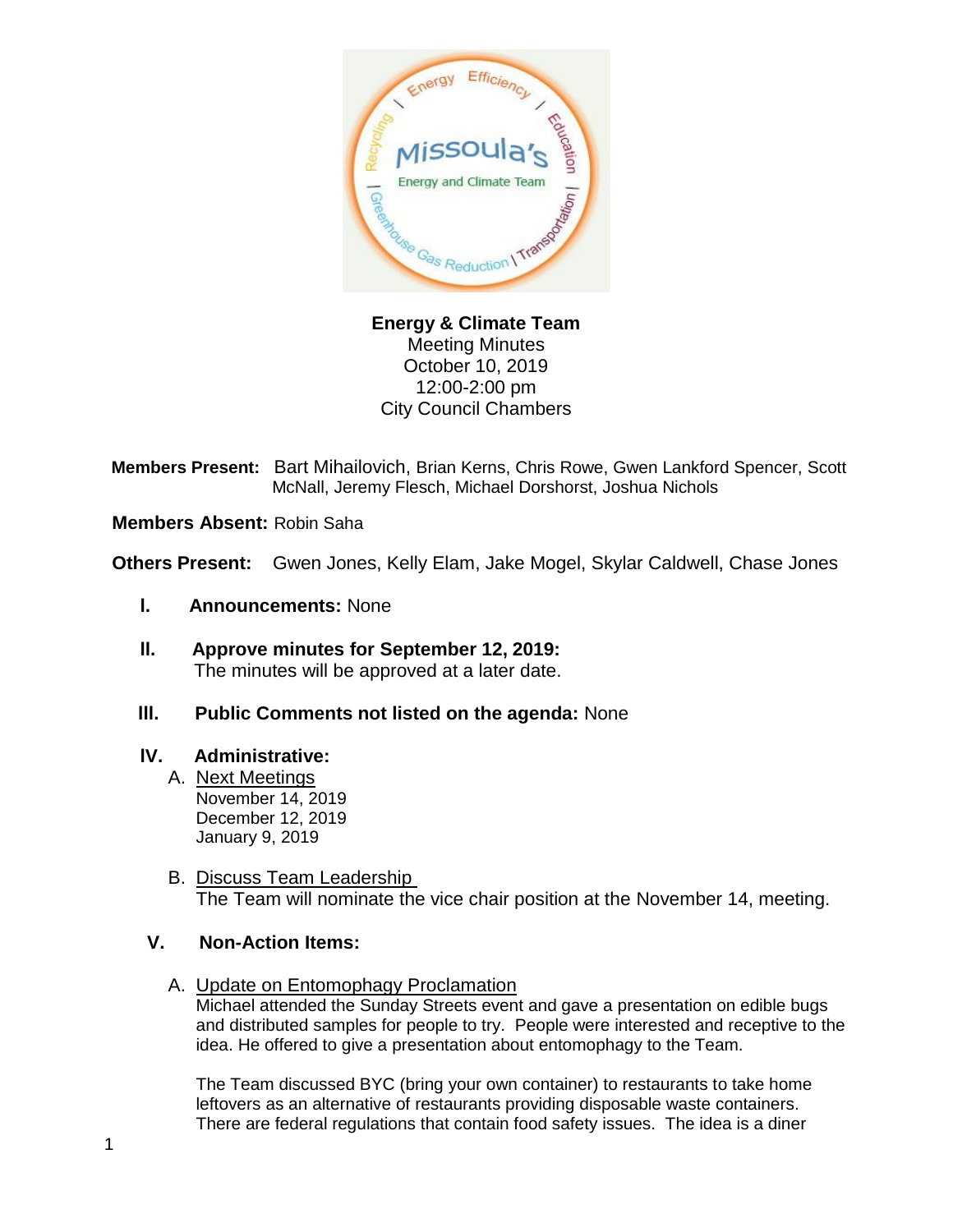

**Energy & Climate Team** Meeting Minutes October 10, 2019 12:00-2:00 pm City Council Chambers

**Members Present:** Bart Mihailovich, Brian Kerns, Chris Rowe, Gwen Lankford Spencer, Scott McNall, Jeremy Flesch, Michael Dorshorst, Joshua Nichols

**Members Absent:** Robin Saha

**Others Present:** Gwen Jones, Kelly Elam, Jake Mogel, Skylar Caldwell, Chase Jones

- **l. Announcements:** None
- **ll. Approve minutes for September 12, 2019:** The minutes will be approved at a later date.
- **lll. Public Comments not listed on the agenda:** None

## **lV. Administrative:**

- A. Next Meetings November 14, 2019 December 12, 2019 January 9, 2019
- B. Discuss Team Leadership The Team will nominate the vice chair position at the November 14, meeting.

## **V. Non-Action Items:**

A. Update on Entomophagy Proclamation

Michael attended the Sunday Streets event and gave a presentation on edible bugs and distributed samples for people to try. People were interested and receptive to the idea. He offered to give a presentation about entomophagy to the Team.

The Team discussed BYC (bring your own container) to restaurants to take home leftovers as an alternative of restaurants providing disposable waste containers. There are federal regulations that contain food safety issues. The idea is a diner